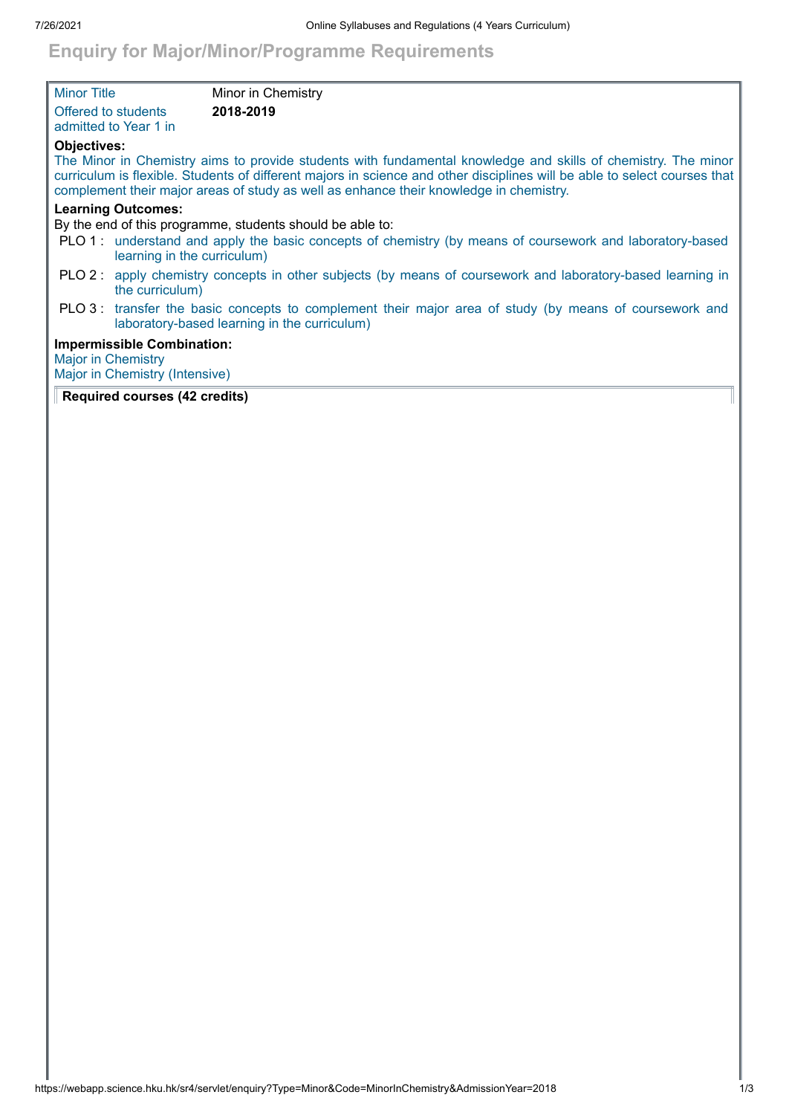## **Enquiry for Major/Minor/Programme Requirements**

| <b>Minor Title</b>        |                                                                     | Minor in Chemistry                                                                                                                                                                                                                                                                                                                   |
|---------------------------|---------------------------------------------------------------------|--------------------------------------------------------------------------------------------------------------------------------------------------------------------------------------------------------------------------------------------------------------------------------------------------------------------------------------|
| Offered to students       | admitted to Year 1 in                                               | 2018-2019                                                                                                                                                                                                                                                                                                                            |
| <b>Objectives:</b>        |                                                                     | The Minor in Chemistry aims to provide students with fundamental knowledge and skills of chemistry. The minor<br>curriculum is flexible. Students of different majors in science and other disciplines will be able to select courses that<br>complement their major areas of study as well as enhance their knowledge in chemistry. |
|                           | <b>Learning Outcomes:</b>                                           | By the end of this programme, students should be able to:                                                                                                                                                                                                                                                                            |
|                           | learning in the curriculum)                                         | PLO 1: understand and apply the basic concepts of chemistry (by means of coursework and laboratory-based                                                                                                                                                                                                                             |
|                           | the curriculum)                                                     | PLO 2: apply chemistry concepts in other subjects (by means of coursework and laboratory-based learning in                                                                                                                                                                                                                           |
|                           |                                                                     | PLO 3: transfer the basic concepts to complement their major area of study (by means of coursework and<br>laboratory-based learning in the curriculum)                                                                                                                                                                               |
| <b>Major in Chemistry</b> | <b>Impermissible Combination:</b><br>Major in Chemistry (Intensive) |                                                                                                                                                                                                                                                                                                                                      |

## **Required courses (42 credits)**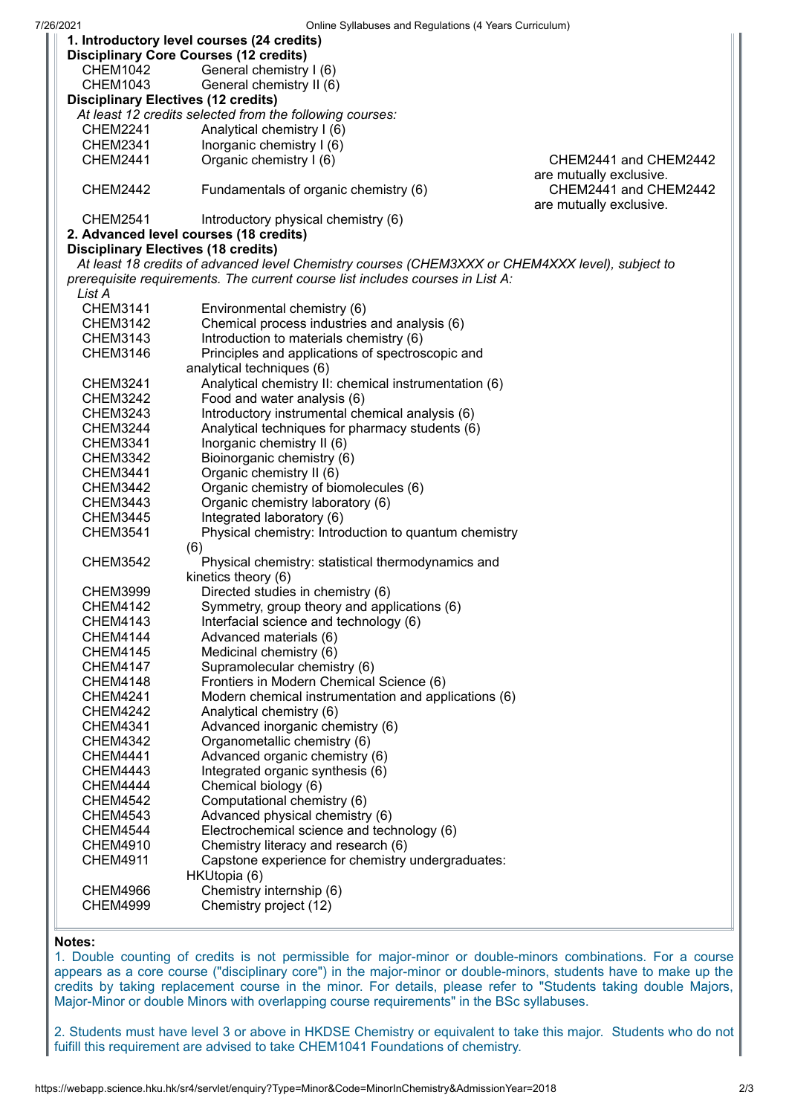| UTIME Synabuses and Regulations (4 Tears Curriculum)<br>1. Introductory level courses (24 credits) |                                                       |                                                  |  |  |  |
|----------------------------------------------------------------------------------------------------|-------------------------------------------------------|--------------------------------------------------|--|--|--|
| <b>Disciplinary Core Courses (12 credits)</b>                                                      |                                                       |                                                  |  |  |  |
| <b>CHEM1042</b>                                                                                    | General chemistry I (6)                               |                                                  |  |  |  |
| <b>CHEM1043</b>                                                                                    | General chemistry II (6)                              |                                                  |  |  |  |
| <b>Disciplinary Electives (12 credits)</b>                                                         |                                                       |                                                  |  |  |  |
| At least 12 credits selected from the following courses:                                           |                                                       |                                                  |  |  |  |
| <b>CHEM2241</b>                                                                                    | Analytical chemistry I (6)                            |                                                  |  |  |  |
| <b>CHEM2341</b>                                                                                    | Inorganic chemistry I (6)                             |                                                  |  |  |  |
| <b>CHEM2441</b>                                                                                    | Organic chemistry I (6)                               | CHEM2441 and CHEM2442                            |  |  |  |
| are mutually exclusive.                                                                            |                                                       |                                                  |  |  |  |
| <b>CHEM2442</b>                                                                                    | Fundamentals of organic chemistry (6)                 | CHEM2441 and CHEM2442<br>are mutually exclusive. |  |  |  |
| <b>CHEM2541</b>                                                                                    | Introductory physical chemistry (6)                   |                                                  |  |  |  |
|                                                                                                    | 2. Advanced level courses (18 credits)                |                                                  |  |  |  |
| <b>Disciplinary Electives (18 credits)</b>                                                         |                                                       |                                                  |  |  |  |
| At least 18 credits of advanced level Chemistry courses (CHEM3XXX or CHEM4XXX level), subject to   |                                                       |                                                  |  |  |  |
| prerequisite requirements. The current course list includes courses in List A:                     |                                                       |                                                  |  |  |  |
| List A                                                                                             |                                                       |                                                  |  |  |  |
| <b>CHEM3141</b>                                                                                    | Environmental chemistry (6)                           |                                                  |  |  |  |
| <b>CHEM3142</b>                                                                                    | Chemical process industries and analysis (6)          |                                                  |  |  |  |
| CHEM3143                                                                                           | Introduction to materials chemistry (6)               |                                                  |  |  |  |
| <b>CHEM3146</b>                                                                                    | Principles and applications of spectroscopic and      |                                                  |  |  |  |
|                                                                                                    | analytical techniques (6)                             |                                                  |  |  |  |
| <b>CHEM3241</b>                                                                                    | Analytical chemistry II: chemical instrumentation (6) |                                                  |  |  |  |
| <b>CHEM3242</b>                                                                                    | Food and water analysis (6)                           |                                                  |  |  |  |
| <b>CHEM3243</b>                                                                                    | Introductory instrumental chemical analysis (6)       |                                                  |  |  |  |
| <b>CHEM3244</b>                                                                                    | Analytical techniques for pharmacy students (6)       |                                                  |  |  |  |
| CHEM3341                                                                                           | Inorganic chemistry II (6)                            |                                                  |  |  |  |
| <b>CHEM3342</b>                                                                                    | Bioinorganic chemistry (6)                            |                                                  |  |  |  |
| <b>CHEM3441</b>                                                                                    | Organic chemistry II (6)                              |                                                  |  |  |  |
| <b>CHEM3442</b>                                                                                    | Organic chemistry of biomolecules (6)                 |                                                  |  |  |  |
| <b>CHEM3443</b>                                                                                    | Organic chemistry laboratory (6)                      |                                                  |  |  |  |
| <b>CHEM3445</b>                                                                                    | Integrated laboratory (6)                             |                                                  |  |  |  |
| <b>CHEM3541</b>                                                                                    | Physical chemistry: Introduction to quantum chemistry |                                                  |  |  |  |
|                                                                                                    | (6)                                                   |                                                  |  |  |  |
| <b>CHEM3542</b>                                                                                    | Physical chemistry: statistical thermodynamics and    |                                                  |  |  |  |
|                                                                                                    | kinetics theory (6)                                   |                                                  |  |  |  |
| <b>CHEM3999</b>                                                                                    | Directed studies in chemistry (6)                     |                                                  |  |  |  |
| <b>CHEM4142</b>                                                                                    | Symmetry, group theory and applications (6)           |                                                  |  |  |  |
| <b>CHEM4143</b>                                                                                    | Interfacial science and technology (6)                |                                                  |  |  |  |
| CHEM4144                                                                                           | Advanced materials (6)                                |                                                  |  |  |  |
| <b>CHEM4145</b>                                                                                    | Medicinal chemistry (6)                               |                                                  |  |  |  |
| <b>CHEM4147</b>                                                                                    | Supramolecular chemistry (6)                          |                                                  |  |  |  |
| CHEM4148                                                                                           | Frontiers in Modern Chemical Science (6)              |                                                  |  |  |  |
| <b>CHEM4241</b>                                                                                    | Modern chemical instrumentation and applications (6)  |                                                  |  |  |  |
| <b>CHEM4242</b>                                                                                    | Analytical chemistry (6)                              |                                                  |  |  |  |
| <b>CHEM4341</b>                                                                                    | Advanced inorganic chemistry (6)                      |                                                  |  |  |  |
| <b>CHEM4342</b>                                                                                    | Organometallic chemistry (6)                          |                                                  |  |  |  |
| <b>CHEM4441</b>                                                                                    | Advanced organic chemistry (6)                        |                                                  |  |  |  |
| <b>CHEM4443</b>                                                                                    | Integrated organic synthesis (6)                      |                                                  |  |  |  |
| <b>CHEM4444</b>                                                                                    | Chemical biology (6)                                  |                                                  |  |  |  |
| <b>CHEM4542</b>                                                                                    | Computational chemistry (6)                           |                                                  |  |  |  |
| <b>CHEM4543</b>                                                                                    | Advanced physical chemistry (6)                       |                                                  |  |  |  |
| CHEM4544                                                                                           | Electrochemical science and technology (6)            |                                                  |  |  |  |
| <b>CHEM4910</b>                                                                                    | Chemistry literacy and research (6)                   |                                                  |  |  |  |
| <b>CHEM4911</b>                                                                                    | Capstone experience for chemistry undergraduates:     |                                                  |  |  |  |
|                                                                                                    | HKUtopia (6)                                          |                                                  |  |  |  |
| <b>CHEM4966</b>                                                                                    | Chemistry internship (6)                              |                                                  |  |  |  |
| <b>CHEM4999</b>                                                                                    | Chemistry project (12)                                |                                                  |  |  |  |
|                                                                                                    |                                                       |                                                  |  |  |  |

## **Notes:**

1. Double counting of credits is not permissible for major-minor or double-minors combinations. For a course appears as a core course ("disciplinary core") in the major-minor or double-minors, students have to make up the credits by taking replacement course in the minor. For details, please refer to "Students taking double Majors, Major-Minor or double Minors with overlapping course requirements" in the BSc syllabuses.

2. Students must have level 3 or above in HKDSE Chemistry or equivalent to take this major. Students who do not fuifill this requirement are advised to take CHEM1041 Foundations of chemistry.